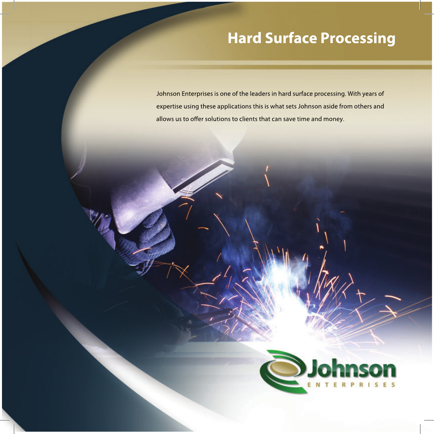# **Hard Surface Processing**

Johnson Enterprises is one of the leaders in hard surface processing. With years of expertise using these applications this is what sets Johnson aside from others and allows us to offer solutions to clients that can save time and money.